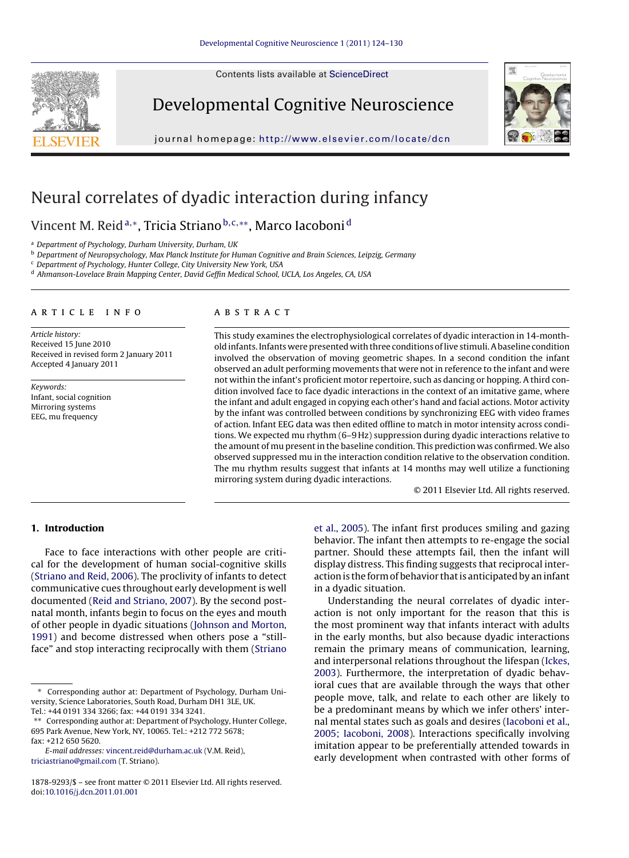Contents lists available at [ScienceDirect](http://www.sciencedirect.com/science/journal/18789293)



Developmental Cognitive Neuroscience

journal homepage: <http://www.elsevier.com/locate/dcn>



# Neural correlates of dyadic interaction during infancy

Vincent M. Reid<sup>a</sup>,∗, Tricia Striano <sup>b</sup>,c,∗∗, Marco Iacoboni <sup>d</sup>

a Department of Psychology, Durham University, Durham, UK

<sup>b</sup> Department of Neuropsychology, Max Planck Institute for Human Cognitive and Brain Sciences, Leipzig, Germany

<sup>c</sup> Department of Psychology, Hunter College, City University New York, USA

<sup>d</sup> Ahmanson-Lovelace Brain Mapping Center, David Geffin Medical School, UCLA, Los Angeles, CA, USA

#### article info

Article history: Received 15 June 2010 Received in revised form 2 January 2011 Accepted 4 January 2011

Keywords: Infant, social cognition Mirroring systems EEG, mu frequency

## ABSTRACT

This study examines the electrophysiological correlates of dyadic interaction in 14-monthold infants. Infants were presented with three conditions of live stimuli. A baseline condition involved the observation of moving geometric shapes. In a second condition the infant observed an adult performing movements that were not in reference to the infant and were not within the infant's proficient motor repertoire, such as dancing or hopping. A third condition involved face to face dyadic interactions in the context of an imitative game, where the infant and adult engaged in copying each other's hand and facial actions. Motor activity by the infant was controlled between conditions by synchronizing EEG with video frames of action. Infant EEG data was then edited offline to match in motor intensity across conditions. We expected mu rhythm (6–9 Hz) suppression during dyadic interactions relative to the amount of mu present in the baseline condition. This prediction was confirmed. We also observed suppressed mu in the interaction condition relative to the observation condition. The mu rhythm results suggest that infants at 14 months may well utilize a functioning mirroring system during dyadic interactions.

© 2011 Elsevier Ltd. All rights reserved.

#### **1. Introduction**

Face to face interactions with other people are critical for the development of human social-cognitive skills [\(Striano and Reid, 2006\).](#page-6-0) The proclivity of infants to detect communicative cues throughout early development is well documented [\(Reid and Striano, 2007\).](#page-6-0) By the second postnatal month, infants begin to focus on the eyes and mouth of other people in dyadic situations ([Johnson and Morton,](#page-5-0) [1991\)](#page-5-0) and become distressed when others pose a "stillface" and stop interacting reciprocally with them ([Striano](#page-6-0)

Tel.: +44 0191 334 3266; fax: +44 0191 334 3241.

∗∗ Corresponding author at: Department of Psychology, Hunter College, 695 Park Avenue, New York, NY, 10065. Tel.: +212 772 5678; fax: +212 650 5620.

E-mail addresses: [vincent.reid@durham.ac.uk](mailto:vincent.reid@durham.ac.uk) (V.M. Reid), [triciastriano@gmail.com](mailto:triciastriano@gmail.com) (T. Striano).

[et al., 2005\).](#page-6-0) The infant first produces smiling and gazing behavior. The infant then attempts to re-engage the social partner. Should these attempts fail, then the infant will display distress. This finding suggests that reciprocal interaction is the form of behavior that is anticipated by an infant in a dyadic situation.

Understanding the neural correlates of dyadic interaction is not only important for the reason that this is the most prominent way that infants interact with adults in the early months, but also because dyadic interactions remain the primary means of communication, learning, and interpersonal relations throughout the lifespan [\(Ickes,](#page-5-0) [2003\).](#page-5-0) Furthermore, the interpretation of dyadic behavioral cues that are available through the ways that other people move, talk, and relate to each other are likely to be a predominant means by which we infer others' internal mental states such as goals and desires ([Iacoboni et al.,](#page-5-0) [2005; Iacoboni, 2008\).](#page-5-0) Interactions specifically involving imitation appear to be preferentially attended towards in early development when contrasted with other forms of

Corresponding author at: Department of Psychology, Durham University, Science Laboratories, South Road, Durham DH1 3LE, UK.

<sup>1878-9293/\$ –</sup> see front matter © 2011 Elsevier Ltd. All rights reserved. doi:[10.1016/j.dcn.2011.01.001](dx.doi.org/10.1016/j.dcn.2011.01.001)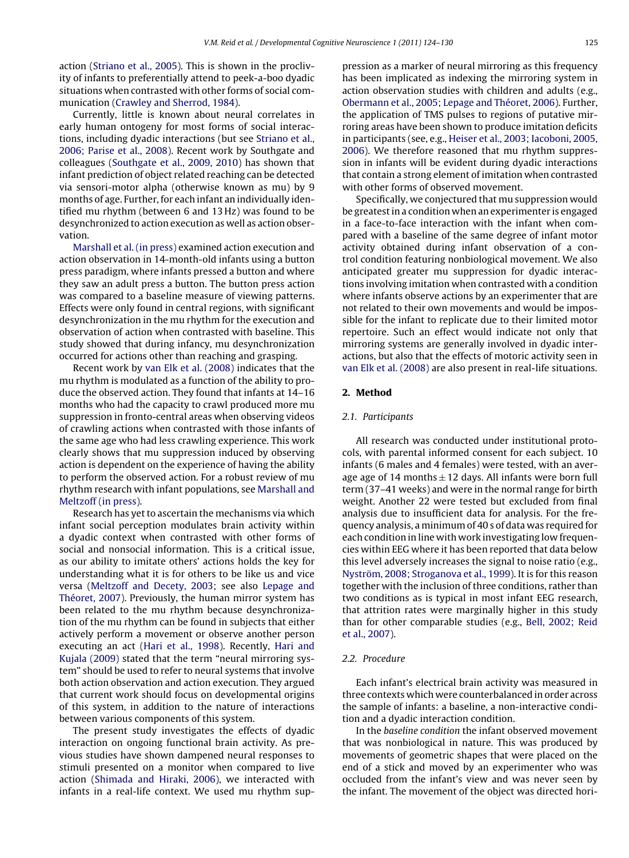action ([Striano et al., 2005\).](#page-6-0) This is shown in the proclivity of infants to preferentially attend to peek-a-boo dyadic situations when contrasted with other forms of social communication [\(Crawley and Sherrod, 1984\).](#page-5-0)

Currently, little is known about neural correlates in early human ontogeny for most forms of social interactions, including dyadic interactions (but see [Striano et al.,](#page-6-0) [2006; Parise et al., 2008\).](#page-6-0) Recent work by Southgate and colleagues [\(Southgate et al., 2009, 2010\)](#page-6-0) has shown that infant prediction of object related reaching can be detected via sensori-motor alpha (otherwise known as mu) by 9 months of age. Further, for each infant an individually identified mu rhythm (between 6 and 13 Hz) was found to be desynchronized to action execution as well as action observation.

[Marshall et al. \(in press\)](#page-6-0) examined action execution and action observation in 14-month-old infants using a button press paradigm, where infants pressed a button and where they saw an adult press a button. The button press action was compared to a baseline measure of viewing patterns. Effects were only found in central regions, with significant desynchronization in the mu rhythm for the execution and observation of action when contrasted with baseline. This study showed that during infancy, mu desynchronization occurred for actions other than reaching and grasping.

Recent work by [van Elk et al. \(2008\)](#page-6-0) indicates that the mu rhythm is modulated as a function of the ability to produce the observed action. They found that infants at 14–16 months who had the capacity to crawl produced more mu suppression in fronto-central areas when observing videos of crawling actions when contrasted with those infants of the same age who had less crawling experience. This work clearly shows that mu suppression induced by observing action is dependent on the experience of having the ability to perform the observed action. For a robust review of mu rhythm research with infant populations, see [Marshall and](#page-5-0) [Meltzoff \(in press\).](#page-5-0)

Research has yet to ascertain the mechanisms via which infant social perception modulates brain activity within a dyadic context when contrasted with other forms of social and nonsocial information. This is a critical issue, as our ability to imitate others' actions holds the key for understanding what it is for others to be like us and vice versa ([Meltzoff and Decety, 2003;](#page-6-0) see also [Lepage and](#page-5-0) [Théoret, 2007\).](#page-5-0) Previously, the human mirror system has been related to the mu rhythm because desynchronization of the mu rhythm can be found in subjects that either actively perform a movement or observe another person executing an act [\(Hari et al., 1998\).](#page-5-0) Recently, [Hari and](#page-5-0) [Kujala \(2009\)](#page-5-0) stated that the term "neural mirroring system" should be used to refer to neural systems that involve both action observation and action execution. They argued that current work should focus on developmental origins of this system, in addition to the nature of interactions between various components of this system.

The present study investigates the effects of dyadic interaction on ongoing functional brain activity. As previous studies have shown dampened neural responses to stimuli presented on a monitor when compared to live action [\(Shimada and Hiraki, 2006\),](#page-6-0) we interacted with infants in a real-life context. We used mu rhythm suppression as a marker of neural mirroring as this frequency has been implicated as indexing the mirroring system in action observation studies with children and adults (e.g., [Obermann et al., 2005; Lepage and Théoret, 2006\).](#page-6-0) Further, the application of TMS pulses to regions of putative mirroring areas have been shown to produce imitation deficits in participants (see, e.g., [Heiser et al., 2003; Iacoboni, 2005,](#page-5-0) [2006\).](#page-5-0) We therefore reasoned that mu rhythm suppression in infants will be evident during dyadic interactions that contain a strong element of imitation when contrasted with other forms of observed movement.

Specifically, we conjectured that mu suppression would be greatest in a condition when an experimenter is engaged in a face-to-face interaction with the infant when compared with a baseline of the same degree of infant motor activity obtained during infant observation of a control condition featuring nonbiological movement. We also anticipated greater mu suppression for dyadic interactions involving imitation when contrasted with a condition where infants observe actions by an experimenter that are not related to their own movements and would be impossible for the infant to replicate due to their limited motor repertoire. Such an effect would indicate not only that mirroring systems are generally involved in dyadic interactions, but also that the effects of motoric activity seen in [van Elk et al. \(2008\)](#page-6-0) are also present in real-life situations.

#### **2. Method**

#### 2.1. Participants

All research was conducted under institutional protocols, with parental informed consent for each subject. 10 infants (6 males and 4 females) were tested, with an average age of 14 months  $\pm$  12 days. All infants were born full term (37–41 weeks) and were in the normal range for birth weight. Another 22 were tested but excluded from final analysis due to insufficient data for analysis. For the frequency analysis, a minimum of 40 s of data was required for each condition in line with work investigating low frequencies within EEG where it has been reported that data below this level adversely increases the signal to noise ratio (e.g., [Nyström, 2008; Stroganova et al., 1999\).](#page-6-0) It is for this reason together with the inclusion of three conditions, rather than two conditions as is typical in most infant EEG research, that attrition rates were marginally higher in this study than for other comparable studies (e.g., [Bell, 2002; Reid](#page-5-0) [et al., 2007\).](#page-5-0)

#### 2.2. Procedure

Each infant's electrical brain activity was measured in three contexts which were counterbalanced in order across the sample of infants: a baseline, a non-interactive condition and a dyadic interaction condition.

In the baseline condition the infant observed movement that was nonbiological in nature. This was produced by movements of geometric shapes that were placed on the end of a stick and moved by an experimenter who was occluded from the infant's view and was never seen by the infant. The movement of the object was directed hori-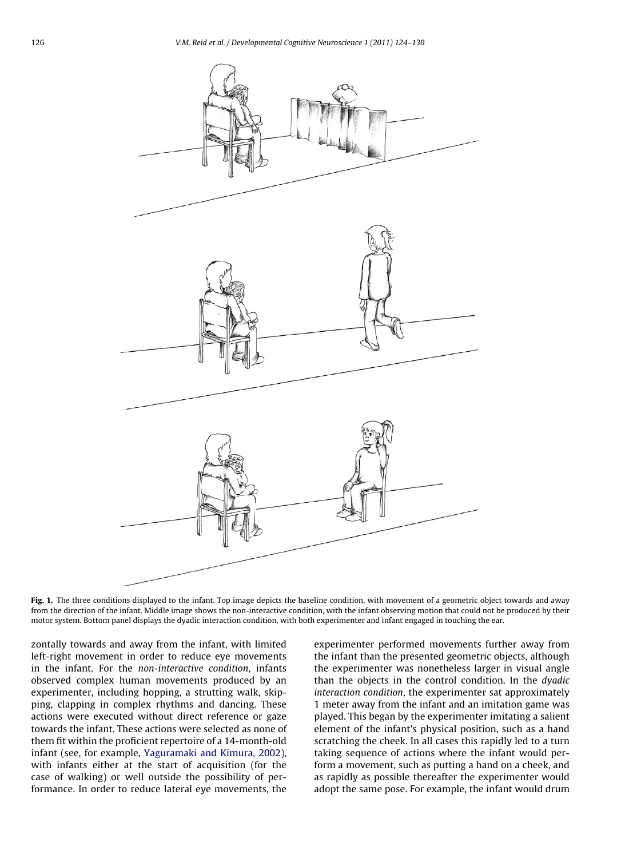<span id="page-2-0"></span>

Fig. 1. The three conditions displayed to the infant. Top image depicts the baseline condition, with movement of a geometric object towards and away from the direction of the infant. Middle image shows the non-interactive condition, with the infant observing motion that could not be produced by their motor system. Bottom panel displays the dyadic interaction condition, with both experimenter and infant engaged in touching the ear.

zontally towards and away from the infant, with limited left-right movement in order to reduce eye movements in the infant. For the non-interactive condition, infants observed complex human movements produced by an experimenter, including hopping, a strutting walk, skipping, clapping in complex rhythms and dancing. These actions were executed without direct reference or gaze towards the infant. These actions were selected as none of them fit within the proficient repertoire of a 14-month-old infant (see, for example, [Yaguramaki and Kimura, 2002\),](#page-6-0) with infants either at the start of acquisition (for the case of walking) or well outside the possibility of performance. In order to reduce lateral eye movements, the

experimenter performed movements further away from the infant than the presented geometric objects, although the experimenter was nonetheless larger in visual angle than the objects in the control condition. In the dyadic interaction condition, the experimenter sat approximately 1 meter away from the infant and an imitation game was played. This began by the experimenter imitating a salient element of the infant's physical position, such as a hand scratching the cheek. In all cases this rapidly led to a turn taking sequence of actions where the infant would perform a movement, such as putting a hand on a cheek, and as rapidly as possible thereafter the experimenter would adopt the same pose. For example, the infant would drum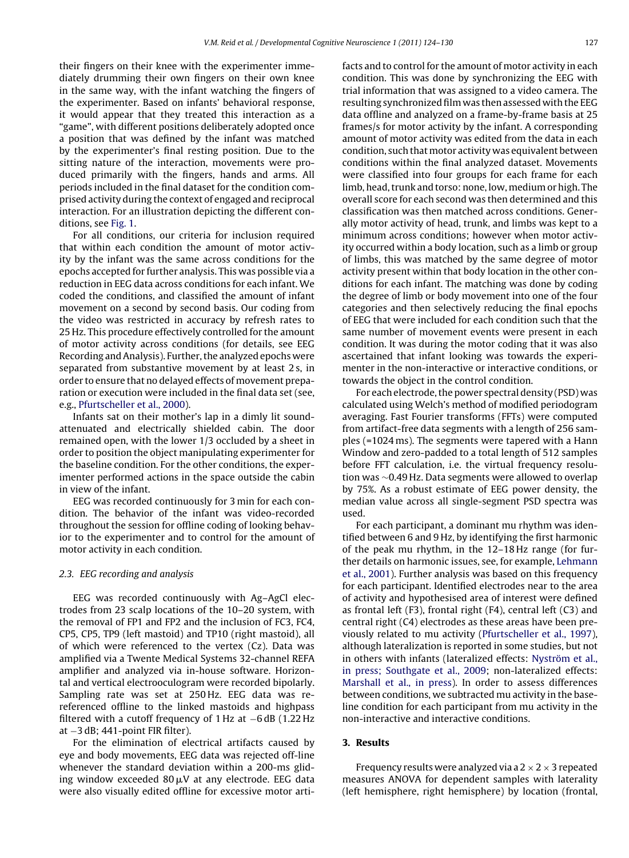their fingers on their knee with the experimenter immediately drumming their own fingers on their own knee in the same way, with the infant watching the fingers of the experimenter. Based on infants' behavioral response, it would appear that they treated this interaction as a "game", with different positions deliberately adopted once a position that was defined by the infant was matched by the experimenter's final resting position. Due to the sitting nature of the interaction, movements were produced primarily with the fingers, hands and arms. All periods included in the final dataset for the condition comprised activity during the context of engaged and reciprocal interaction. For an illustration depicting the different conditions, see [Fig. 1.](#page-2-0)

For all conditions, our criteria for inclusion required that within each condition the amount of motor activity by the infant was the same across conditions for the epochs accepted for further analysis. This was possible via a reduction in EEG data across conditions for each infant. We coded the conditions, and classified the amount of infant movement on a second by second basis. Our coding from the video was restricted in accuracy by refresh rates to 25 Hz. This procedure effectively controlled for the amount of motor activity across conditions (for details, see EEG Recording and Analysis). Further, the analyzed epochs were separated from substantive movement by at least 2 s, in order to ensure that no delayed effects of movement preparation or execution were included in the final data set (see, e.g., [Pfurtscheller et al., 2000\).](#page-6-0)

Infants sat on their mother's lap in a dimly lit soundattenuated and electrically shielded cabin. The door remained open, with the lower 1/3 occluded by a sheet in order to position the object manipulating experimenter for the baseline condition. For the other conditions, the experimenter performed actions in the space outside the cabin in view of the infant.

EEG was recorded continuously for 3 min for each condition. The behavior of the infant was video-recorded throughout the session for offline coding of looking behavior to the experimenter and to control for the amount of motor activity in each condition.

#### 2.3. EEG recording and analysis

EEG was recorded continuously with Ag–AgCl electrodes from 23 scalp locations of the 10–20 system, with the removal of FP1 and FP2 and the inclusion of FC3, FC4, CP5, CP5, TP9 (left mastoid) and TP10 (right mastoid), all of which were referenced to the vertex (Cz). Data was amplified via a Twente Medical Systems 32-channel REFA amplifier and analyzed via in-house software. Horizontal and vertical electrooculogram were recorded bipolarly. Sampling rate was set at 250 Hz. EEG data was rereferenced offline to the linked mastoids and highpass filtered with a cutoff frequency of 1 Hz at −6 dB (1.22 Hz at −3 dB; 441-point FIR filter).

For the elimination of electrical artifacts caused by eye and body movements, EEG data was rejected off-line whenever the standard deviation within a 200-ms gliding window exceeded 80 $\mu$ V at any electrode. EEG data were also visually edited offline for excessive motor artifacts and to control for the amount of motor activity in each condition. This was done by synchronizing the EEG with trial information that was assigned to a video camera. The resulting synchronized film was then assessed with the EEG data offline and analyzed on a frame-by-frame basis at 25 frames/s for motor activity by the infant. A corresponding amount of motor activity was edited from the data in each condition, such that motor activity was equivalent between conditions within the final analyzed dataset. Movements were classified into four groups for each frame for each limb, head, trunk and torso: none, low, medium or high. The overall score for each second was then determined and this classification was then matched across conditions. Generally motor activity of head, trunk, and limbs was kept to a minimum across conditions; however when motor activity occurred within a body location, such as a limb or group of limbs, this was matched by the same degree of motor activity present within that body location in the other conditions for each infant. The matching was done by coding the degree of limb or body movement into one of the four categories and then selectively reducing the final epochs of EEG that were included for each condition such that the same number of movement events were present in each condition. It was during the motor coding that it was also ascertained that infant looking was towards the experimenter in the non-interactive or interactive conditions, or towards the object in the control condition.

For each electrode, the power spectral density (PSD) was calculated using Welch's method of modified periodogram averaging. Fast Fourier transforms (FFTs) were computed from artifact-free data segments with a length of 256 samples (=1024 ms). The segments were tapered with a Hann Window and zero-padded to a total length of 512 samples before FFT calculation, i.e. the virtual frequency resolution was ∼0.49 Hz. Data segments were allowed to overlap by 75%. As a robust estimate of EEG power density, the median value across all single-segment PSD spectra was used.

For each participant, a dominant mu rhythm was identified between 6 and 9 Hz, by identifying the first harmonic of the peak mu rhythm, in the 12–18 Hz range (for further details on harmonic issues, see, for example, [Lehmann](#page-5-0) [et al., 2001\).](#page-5-0) Further analysis was based on this frequency for each participant. Identified electrodes near to the area of activity and hypothesised area of interest were defined as frontal left (F3), frontal right (F4), central left (C3) and central right (C4) electrodes as these areas have been previously related to mu activity ([Pfurtscheller et al., 1997\),](#page-6-0) although lateralization is reported in some studies, but not in others with infants (lateralized effects: [Nyström et al.,](#page-6-0) [in press; Southgate et al., 2009;](#page-6-0) non-lateralized effects: [Marshall et al., in press\).](#page-6-0) In order to assess differences between conditions, we subtracted mu activity in the baseline condition for each participant from mu activity in the non-interactive and interactive conditions.

## **3. Results**

Frequency results were analyzed via a  $2 \times 2 \times 3$  repeated measures ANOVA for dependent samples with laterality (left hemisphere, right hemisphere) by location (frontal,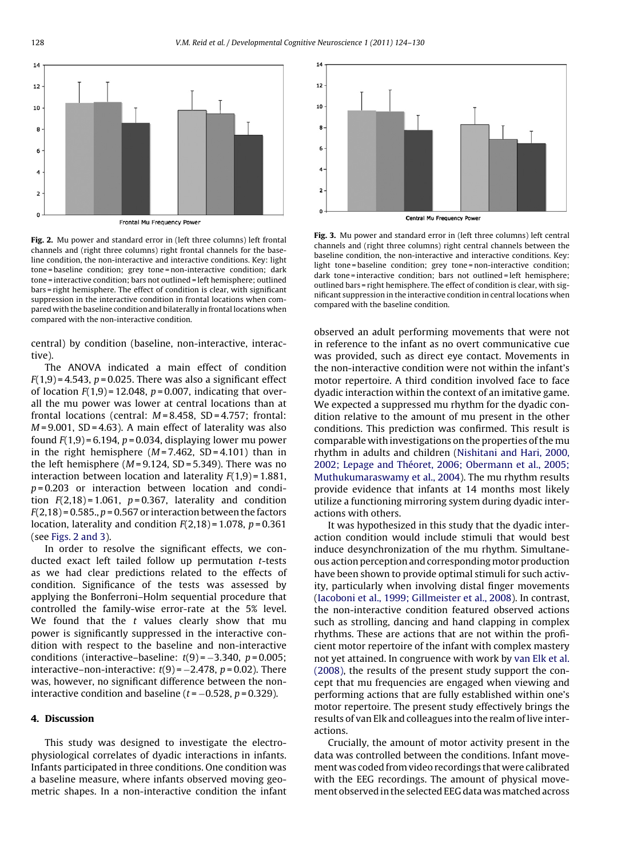

**Fig. 2.** Mu power and standard error in (left three columns) left frontal channels and (right three columns) right frontal channels for the baseline condition, the non-interactive and interactive conditions. Key: light tone = baseline condition; grey tone = non-interactive condition; dark tone = interactive condition; bars not outlined = left hemisphere; outlined bars = right hemisphere. The effect of condition is clear, with significant suppression in the interactive condition in frontal locations when compared with the baseline condition and bilaterally in frontal locations when compared with the non-interactive condition.

central) by condition (baseline, non-interactive, interactive).

The ANOVA indicated a main effect of condition  $F(1,9) = 4.543$ ,  $p = 0.025$ . There was also a significant effect of location  $F(1,9) = 12.048$ ,  $p = 0.007$ , indicating that overall the mu power was lower at central locations than at frontal locations (central:  $M = 8.458$ , SD = 4.757; frontal:  $M = 9.001$ , SD = 4.63). A main effect of laterality was also found  $F(1,9) = 6.194$ ,  $p = 0.034$ , displaying lower mu power in the right hemisphere  $(M=7.462, SD=4.101)$  than in the left hemisphere  $(M = 9.124, SD = 5.349)$ . There was no interaction between location and laterality  $F(1,9) = 1.881$ ,  $p = 0.203$  or interaction between location and condition  $F(2,18) = 1.061$ ,  $p = 0.367$ , laterality and condition  $F(2,18)$  = 0.585.,  $p$  = 0.567 or interaction between the factors location, laterality and condition  $F(2,18) = 1.078$ ,  $p = 0.361$ (see Figs. 2 and 3).

In order to resolve the significant effects, we conducted exact left tailed follow up permutation t-tests as we had clear predictions related to the effects of condition. Significance of the tests was assessed by applying the Bonferroni–Holm sequential procedure that controlled the family-wise error-rate at the 5% level. We found that the  $t$  values clearly show that mu power is significantly suppressed in the interactive condition with respect to the baseline and non-interactive conditions (interactive–baseline:  $t(9) = -3.340$ ,  $p = 0.005$ ; interactive–non-interactive:  $t(9) = -2.478$ ,  $p = 0.02$ ). There was, however, no significant difference between the noninteractive condition and baseline ( $t = -0.528$ ,  $p = 0.329$ ).

### **4. Discussion**

This study was designed to investigate the electrophysiological correlates of dyadic interactions in infants. Infants participated in three conditions. One condition was a baseline measure, where infants observed moving geometric shapes. In a non-interactive condition the infant



**Fig. 3.** Mu power and standard error in (left three columns) left central channels and (right three columns) right central channels between the baseline condition, the non-interactive and interactive conditions. Key: light tone = baseline condition; grey tone = non-interactive condition; dark tone = interactive condition; bars not outlined = left hemisphere; outlined bars = right hemisphere. The effect of condition is clear, with significant suppression in the interactive condition in central locations when compared with the baseline condition.

observed an adult performing movements that were not in reference to the infant as no overt communicative cue was provided, such as direct eye contact. Movements in the non-interactive condition were not within the infant's motor repertoire. A third condition involved face to face dyadic interaction within the context of an imitative game. We expected a suppressed mu rhythm for the dyadic condition relative to the amount of mu present in the other conditions. This prediction was confirmed. This result is comparable with investigations on the properties of the mu rhythm in adults and children ([Nishitani and Hari, 2000,](#page-6-0) [2002; Lepage and Théoret, 2006; Obermann et al., 2005;](#page-6-0) [Muthukumaraswamy et al., 2004\).](#page-6-0) The mu rhythm results provide evidence that infants at 14 months most likely utilize a functioning mirroring system during dyadic interactions with others.

It was hypothesized in this study that the dyadic interaction condition would include stimuli that would best induce desynchronization of the mu rhythm. Simultaneous action perception and corresponding motor production have been shown to provide optimal stimuli for such activity, particularly when involving distal finger movements [\(Iacoboni et al., 1999; Gillmeister et al., 2008\).](#page-5-0) In contrast, the non-interactive condition featured observed actions such as strolling, dancing and hand clapping in complex rhythms. These are actions that are not within the proficient motor repertoire of the infant with complex mastery not yet attained. In congruence with work by [van Elk et al.](#page-6-0) [\(2008\),](#page-6-0) the results of the present study support the concept that mu frequencies are engaged when viewing and performing actions that are fully established within one's motor repertoire. The present study effectively brings the results of van Elk and colleagues into the realm of live interactions.

Crucially, the amount of motor activity present in the data was controlled between the conditions. Infant movement was coded from video recordings that were calibrated with the EEG recordings. The amount of physical movement observed in the selected EEG data was matched across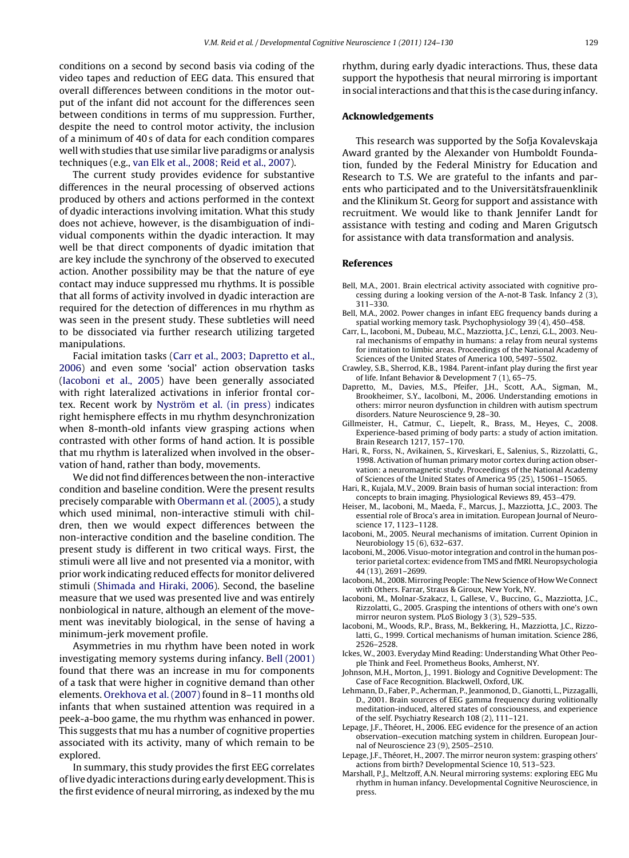<span id="page-5-0"></span>conditions on a second by second basis via coding of the video tapes and reduction of EEG data. This ensured that overall differences between conditions in the motor output of the infant did not account for the differences seen between conditions in terms of mu suppression. Further, despite the need to control motor activity, the inclusion of a minimum of 40 s of data for each condition compares well with studies that use similar live paradigms or analysis techniques (e.g., [van Elk et al., 2008; Reid et al., 2007\).](#page-6-0)

The current study provides evidence for substantive differences in the neural processing of observed actions produced by others and actions performed in the context of dyadic interactions involving imitation. What this study does not achieve, however, is the disambiguation of individual components within the dyadic interaction. It may well be that direct components of dyadic imitation that are key include the synchrony of the observed to executed action. Another possibility may be that the nature of eye contact may induce suppressed mu rhythms. It is possible that all forms of activity involved in dyadic interaction are required for the detection of differences in mu rhythm as was seen in the present study. These subtleties will need to be dissociated via further research utilizing targeted manipulations.

Facial imitation tasks (Carr et al., 2003; Dapretto et al., 2006) and even some 'social' action observation tasks (Iacoboni et al., 2005) have been generally associated with right lateralized activations in inferior frontal cortex. Recent work by [Nyström et al. \(in press\)](#page-6-0) indicates right hemisphere effects in mu rhythm desynchronization when 8-month-old infants view grasping actions when contrasted with other forms of hand action. It is possible that mu rhythm is lateralized when involved in the observation of hand, rather than body, movements.

We did not find differences between the non-interactive condition and baseline condition. Were the present results precisely comparable with [Obermann et al. \(2005\), a](#page-6-0) study which used minimal, non-interactive stimuli with children, then we would expect differences between the non-interactive condition and the baseline condition. The present study is different in two critical ways. First, the stimuli were all live and not presented via a monitor, with prior work indicating reduced effects for monitor delivered stimuli [\(Shimada and Hiraki, 2006\).](#page-6-0) Second, the baseline measure that we used was presented live and was entirely nonbiological in nature, although an element of the movement was inevitably biological, in the sense of having a minimum-jerk movement profile.

Asymmetries in mu rhythm have been noted in work investigating memory systems during infancy. Bell (2001) found that there was an increase in mu for components of a task that were higher in cognitive demand than other elements. [Orekhova et al. \(2007\)](#page-6-0) found in 8–11 months old infants that when sustained attention was required in a peek-a-boo game, the mu rhythm was enhanced in power. This suggests that mu has a number of cognitive properties associated with its activity, many of which remain to be explored.

In summary, this study provides the first EEG correlates of live dyadic interactions during early development. This is the first evidence of neural mirroring, as indexed by the mu rhythm, during early dyadic interactions. Thus, these data support the hypothesis that neural mirroring is important in social interactions and that this is the case during infancy.

### **Acknowledgements**

This research was supported by the Sofja Kovalevskaja Award granted by the Alexander von Humboldt Foundation, funded by the Federal Ministry for Education and Research to T.S. We are grateful to the infants and parents who participated and to the Universitätsfrauenklinik and the Klinikum St. Georg for support and assistance with recruitment. We would like to thank Jennifer Landt for assistance with testing and coding and Maren Grigutsch for assistance with data transformation and analysis.

#### **References**

- Bell, M.A., 2001. Brain electrical activity associated with cognitive processing during a looking version of the A-not-B Task. Infancy 2 (3), 311–330.
- Bell, M.A., 2002. Power changes in infant EEG frequency bands during a spatial working memory task. Psychophysiology 39 (4), 450–458.
- Carr, L., Iacoboni, M., Dubeau, M.C., Mazziotta, J.C., Lenzi, G.L., 2003. Neural mechanisms of empathy in humans: a relay from neural systems for imitation to limbic areas. Proceedings of the National Academy of Sciences of the United States of America 100, 5497–5502.
- Crawley, S.B., Sherrod, K.B., 1984. Parent-infant play during the first year of life. Infant Behavior & Development 7 (1), 65–75.
- Dapretto, M., Davies, M.S., Pfeifer, J.H., Scott, A.A., Sigman, M., Brookheimer, S.Y., Iacolboni, M., 2006. Understanding emotions in others: mirror neuron dysfunction in children with autism spectrum disorders. Nature Neuroscience 9, 28–30.
- Gillmeister, H., Catmur, C., Liepelt, R., Brass, M., Heyes, C., 2008. Experience-based priming of body parts: a study of action imitation. Brain Research 1217, 157–170.
- Hari, R., Forss, N., Avikainen, S., Kirveskari, E., Salenius, S., Rizzolatti, G., 1998. Activation of human primary motor cortex during action observation: a neuromagnetic study. Proceedings of the National Academy of Sciences of the United States of America 95 (25), 15061–15065.
- Hari, R., Kujala, M.V., 2009. Brain basis of human social interaction: from concepts to brain imaging. Physiological Reviews 89, 453–479.
- Heiser, M., Iacoboni, M., Maeda, F., Marcus, J., Mazziotta, J.C., 2003. The essential role of Broca's area in imitation. European Journal of Neuroscience 17, 1123–1128.
- Iacoboni, M., 2005. Neural mechanisms of imitation. Current Opinion in Neurobiology 15 (6), 632–637.
- Iacoboni, M., 2006. Visuo-motor integration and control in the human posterior parietal cortex: evidence from TMS and fMRI. Neuropsychologia 44 (13), 2691–2699.
- Iacoboni,M., 2008.Mirroring People: The New Science of HowWe Connect with Others. Farrar, Straus & Giroux, New York, NY.
- Iacoboni, M., Molnar-Szakacz, I., Gallese, V., Buccino, G., Mazziotta, J.C., Rizzolatti, G., 2005. Grasping the intentions of others with one's own mirror neuron system. PLoS Biology 3 (3), 529–535.
- Iacoboni, M., Woods, R.P., Brass, M., Bekkering, H., Mazziotta, J.C., Rizzolatti, G., 1999. Cortical mechanisms of human imitation. Science 286, 2526–2528.
- Ickes, W., 2003. Everyday Mind Reading: Understanding What Other People Think and Feel. Prometheus Books, Amherst, NY.
- Johnson, M.H., Morton, J., 1991. Biology and Cognitive Development: The Case of Face Recognition. Blackwell, Oxford, UK.
- Lehmann, D., Faber, P., Acherman, P., Jeanmonod, D., Gianotti, L., Pizzagalli, D., 2001. Brain sources of EEG gamma frequency during volitionally meditation-induced, altered states of consciousness, and experience of the self. Psychiatry Research 108 (2), 111–121.
- Lepage, J.F., Théoret, H., 2006. EEG evidence for the presence of an action observation–execution matching system in children. European Journal of Neuroscience 23 (9), 2505–2510.
- Lepage, J.F., Théoret, H., 2007. The mirror neuron system: grasping others' actions from birth? Developmental Science 10, 513–523.
- Marshall, P.J., Meltzoff, A.N. Neural mirroring systems: exploring EEG Mu rhythm in human infancy. Developmental Cognitive Neuroscience, in press.